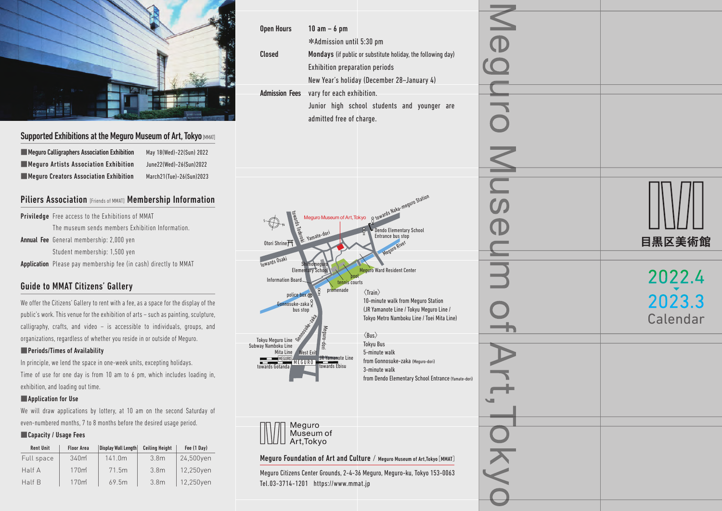

# Supported Exhibitions at the Meguro Museum of Art, Tokyo [MMAT]

■Meguro Calligraphers Association Exhibition May 18(Wed)-22(Sun) 2022 ■Meguro Artists Association Exhibition June22(Wed)-26(Sun)2022 ■Meguro Creators Association Exhibition March21(Tue)-26(Sun)2023

# Piliers Association [Friends of MMAT] Membership Information

Priviledge Free access to the Exhibitions of MMAT The museum sends members Exhibition Information. **Annual Fee** General membership: 2,000 yen Student membership: 1,500 yen **Application** Please pay membership fee (in cash) directly to MMAT

# Guide to MMAT Citizens' Gallery

We offer the Citizens' Gallery to rent with a fee, as a space for the display of the public's work. This venue for the exhibition of arts – such as painting, sculpture, calligraphy, crafts, and video – is accessible to individuals, groups, and organizations, regardless of whether you reside in or outside of Meguro.

## ■Periods/Times of Availability

In principle, we lend the space in one-week units, excepting holidays. Time of use for one day is from 10 am to 6 pm, which includes loading in, exhibition, and loading out time.

### ■Application for Use

We will draw applications by lottery, at 10 am on the second Saturday of even-numbered months, 7 to 8 months before the desired usage period.

## ■ Capacity / Usage Fees

| <b>Rent Unit</b> | <b>Floor Area</b> | <b>Display Wall Length</b> | <b>Ceiling Height</b> | Fee (1 Day) |
|------------------|-------------------|----------------------------|-----------------------|-------------|
| Full space       | 340 <sub>m</sub>  | 141.0m                     | 3.8 <sub>m</sub>      | 24,500yen   |
| Half A           | 170 <sub>m</sub>  | 71.5m                      | 3.8 <sub>m</sub>      | 12,250yen   |
| Half B           | 170 <sub>m</sub>  | 69.5m                      | 3.8 <sub>m</sub>      | 12,250yen   |

| <b>Open Hours</b>                          | $10$ am $-$ 6 pm                                                          |                 |          |
|--------------------------------------------|---------------------------------------------------------------------------|-----------------|----------|
|                                            | *Admission until 5:30 pm                                                  |                 |          |
| <b>Closed</b>                              | Mondays (if public or substitute holiday, the following day)              |                 |          |
|                                            | Exhibition preparation periods                                            |                 |          |
|                                            | New Year's holiday (December 28-January 4)                                |                 |          |
| <b>Admission Fees</b>                      | vary for each exhibition.                                                 | UL              |          |
|                                            | Junior high school students and younger are                               |                 |          |
|                                            | admitted free of charge.                                                  | $\bigcirc$      |          |
|                                            |                                                                           |                 |          |
|                                            |                                                                           |                 |          |
|                                            |                                                                           |                 |          |
|                                            |                                                                           | Mus             |          |
|                                            |                                                                           |                 |          |
|                                            |                                                                           |                 |          |
|                                            |                                                                           |                 |          |
|                                            | Meguro Museum of Art, Tokyo o towards Naka-maguro Station<br>Meguro Muse  |                 |          |
|                                            | Entrance bus stop                                                         |                 |          |
| Otori Shrine <sup>T</sup>                  | <b>Meguro River</b>                                                       |                 | 目黒区美術館   |
| towards Osaki                              | Shimomeguro                                                               |                 |          |
|                                            | <b>Elementary School</b><br>Meguro Ward Resident Center<br>pool           | $\blacklozenge$ | 2022.4   |
| Information Board-                         | tennis courts<br>promenade                                                |                 |          |
| police box<br><b>Gonnosuke-zaka</b> p      | $\langle$ Train $\rangle$<br>10-minute walk from Meguro Station           |                 | 2023.3   |
| bus stop                                   | (JR Yamanote Line / Tokyu Meguro Line /                                   |                 |          |
|                                            | Tokyo Metro Namboku Line / Toei Mita Line)                                |                 | Calendar |
| Tokyu Meguro Line                          | Meguro-dori<br>$\langle$ Bus $\rangle$                                    |                 |          |
| Subway Namboku Line                        | <b>Tokyu Bus</b><br>5-minute walk                                         |                 |          |
| MEGURO<br><b>MEGURO</b><br>towards Gotanda | JR Yamanote Line<br>from Gonnosuke-zaka (Meguro-dori)<br>towards Ebisu    |                 |          |
|                                            | 3-minute walk<br>from Dendo Elementary School Entrance (Yamate-dori)      |                 |          |
|                                            |                                                                           |                 |          |
|                                            |                                                                           | ॼ               |          |
|                                            |                                                                           |                 |          |
|                                            | Meguro                                                                    |                 |          |
|                                            | Museum of<br>Art, Tokyo                                                   |                 |          |
|                                            | Meguro Foundation of Art and Culture / Meguro Museum of Art, Tokyo [MMAT] | KY              |          |
|                                            | Meguro Citizens Center Grounds, 2-4-36 Meguro, Meguro-ku, Tokyo 153-0063  |                 |          |
|                                            | Tel.03-3714-1201 https://www.mmat.jp                                      |                 |          |
|                                            |                                                                           |                 |          |